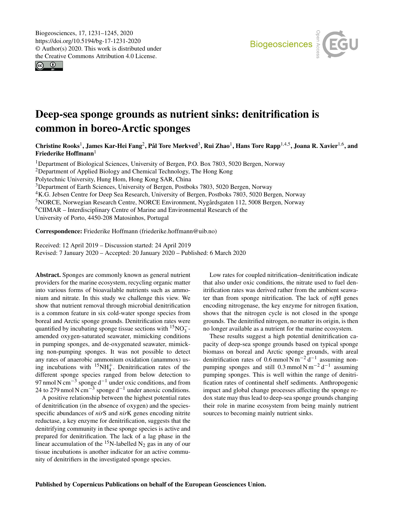$\circledcirc$ 



# Deep-sea sponge grounds as nutrient sinks: denitrification is common in boreo-Arctic sponges

Christine Rooks<sup>[1](#page-0-0)</sup>, James Kar-Hei Fang<sup>[2](#page-0-0)</sup>, Pål Tore Mørkved<sup>[3](#page-0-0)</sup>, Rui Zhao<sup>1</sup>, Hans Tore Rapp<sup>[1,4,5](#page-0-0)</sup>, Joana R. Xavier<sup>[1,6](#page-0-0)</sup>, and Friederike Hoffmann<sup>[1](#page-0-0)</sup>

<sup>1</sup>Department of Biological Sciences, University of Bergen, P.O. Box 7803, 5020 Bergen, Norway <sup>2</sup>Department of Applied Biology and Chemical Technology, The Hong Kong Polytechnic University, Hung Hom, Hong Kong SAR, China <sup>3</sup>Department of Earth Sciences, University of Bergen, Postboks 7803, 5020 Bergen, Norway <sup>4</sup>K.G. Jebsen Centre for Deep Sea Research, University of Bergen, Postboks 7803, 5020 Bergen, Norway <sup>5</sup>NORCE, Norwegian Research Centre, NORCE Environment, Nygårdsgaten 112, 5008 Bergen, Norway <sup>6</sup>CIIMAR – Interdisciplinary Centre of Marine and Environmental Research of the University of Porto, 4450-208 Matosinhos, Portugal

Correspondence: Friederike Hoffmann (friederike.hoffmann@uib.no)

Received: 12 April 2019 – Discussion started: 24 April 2019 Revised: 7 January 2020 – Accepted: 20 January 2020 – Published: 6 March 2020

<span id="page-0-0"></span>Abstract. Sponges are commonly known as general nutrient providers for the marine ecosystem, recycling organic matter into various forms of bioavailable nutrients such as ammonium and nitrate. In this study we challenge this view. We show that nutrient removal through microbial denitrification is a common feature in six cold-water sponge species from boreal and Arctic sponge grounds. Denitrification rates were quantified by incubating sponge tissue sections with  $\frac{15}{15}NO_3^$ amended oxygen-saturated seawater, mimicking conditions in pumping sponges, and de-oxygenated seawater, mimicking non-pumping sponges. It was not possible to detect any rates of anaerobic ammonium oxidation (anammox) using incubations with  ${}^{15}NH_4^+$ . Denitrification rates of the different sponge species ranged from below detection to 97 nmol N cm<sup>-3</sup> sponge d<sup>-1</sup> under oxic conditions, and from 24 to 279 nmol N cm<sup>-3</sup> sponge d<sup>-1</sup> under anoxic conditions.

A positive relationship between the highest potential rates of denitrification (in the absence of oxygen) and the speciesspecific abundances of *nir*S and *nir*K genes encoding nitrite reductase, a key enzyme for denitrification, suggests that the denitrifying community in these sponge species is active and prepared for denitrification. The lack of a lag phase in the linear accumulation of the  $15N$ -labelled N<sub>2</sub> gas in any of our tissue incubations is another indicator for an active community of denitrifiers in the investigated sponge species.

Low rates for coupled nitrification–denitrification indicate that also under oxic conditions, the nitrate used to fuel denitrification rates was derived rather from the ambient seawater than from sponge nitrification. The lack of *nif*H genes encoding nitrogenase, the key enzyme for nitrogen fixation, shows that the nitrogen cycle is not closed in the sponge grounds. The denitrified nitrogen, no matter its origin, is then no longer available as a nutrient for the marine ecosystem.

These results suggest a high potential denitrification capacity of deep-sea sponge grounds based on typical sponge biomass on boreal and Arctic sponge grounds, with areal denitrification rates of 0.6 mmol N m<sup>-2</sup> d<sup>-1</sup> assuming nonpumping sponges and still  $0.3$  mmol N m<sup>-2</sup> d<sup>-1</sup> assuming pumping sponges. This is well within the range of denitrification rates of continental shelf sediments. Anthropogenic impact and global change processes affecting the sponge redox state may thus lead to deep-sea sponge grounds changing their role in marine ecosystem from being mainly nutrient sources to becoming mainly nutrient sinks.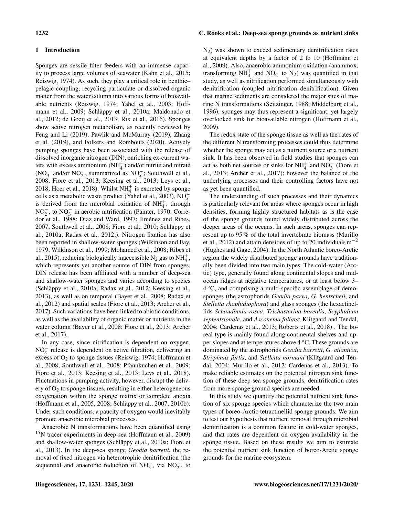# 1 Introduction

Sponges are sessile filter feeders with an immense capacity to process large volumes of seawater (Kahn et al., 2015; Reiswig, 1974). As such, they play a critical role in benthic– pelagic coupling, recycling particulate or dissolved organic matter from the water column into various forms of bioavailable nutrients (Reiswig, 1974; Yahel et al., 2003; Hoffmann et al., 2009; Schläppy et al., 2010a; Maldonado et al., 2012; de Goeij et al., 2013; Rix et al., 2016). Sponges show active nitrogen metabolism, as recently reviewed by Feng and Li (2019), Pawlik and McMurray (2019), Zhang et al. (2019), and Folkers and Rombouts (2020). Actively pumping sponges have been associated with the release of dissolved inorganic nitrogen (DIN), enriching ex-current waters with excess ammonium  $(NH_4^+)$  and/or nitrite and nitrate (NO<sub>3</sub> and/or NO<sub>2</sub>, summarized as NO<sub>x</sub>; Southwell et al., 2008; Fiore et al., 2013; Keesing et al., 2013; Leys et al., 2018; Hoer et al., 2018). Whilst  $NH_4^+$  is excreted by sponge cells as a metabolic waste product (Yahel et al., 2003),  $\overline{NO_x}$ is derived from the microbial oxidation of  $NH_4^+$ , through  $NO<sub>2</sub><sup>-</sup>$ , to  $NO<sub>3</sub><sup>-</sup>$  in aerobic nitrification (Painter, 1970; Corredor et al., 1988; Diaz and Ward, 1997; Jiménez and Ribes, 2007; Southwell et al., 2008; Fiore et al., 2010; Schläppy et al., 2010a; Radax et al., 2012;). Nitrogen fixation has also been reported in shallow-water sponges (Wilkinson and Fay, 1979; Wilkinson et al., 1999; Mohamed et al., 2008; Ribes et al., 2015), reducing biologically inaccessible  $N_2$  gas to  $NH_4^+$ , which represents yet another source of DIN from sponges. DIN release has been affiliated with a number of deep-sea and shallow-water sponges and varies according to species (Schläppy et al., 2010a; Radax et al., 2012; Keesing et al., 2013), as well as on temporal (Bayer et al., 2008; Radax et al., 2012) and spatial scales (Fiore et al., 2013; Archer et al., 2017). Such variations have been linked to abiotic conditions, as well as the availability of organic matter or nutrients in the water column (Bayer et al., 2008; Fiore et al., 2013; Archer et al., 2017).

In any case, since nitrification is dependent on oxygen,  $NO<sub>x</sub><sup>-</sup>$  release is dependent on active filtration, delivering an excess of  $O_2$  to sponge tissues (Reiswig, 1974; Hoffmann et al., 2008; Southwell et al., 2008; Pfannkuchen et al., 2009; Fiore et al., 2013; Keesing et al., 2013; Leys et al., 2018). Fluctuations in pumping activity, however, disrupt the delivery of  $O_2$  to sponge tissues, resulting in either heterogeneous oxygenation within the sponge matrix or complete anoxia (Hoffmann et al., 2005, 2008; Schläppy et al., 2007, 2010b). Under such conditions, a paucity of oxygen would inevitably promote anaerobic microbial processes.

Anaerobic N transformations have been quantified using <sup>15</sup>N tracer experiments in deep-sea (Hoffmann et al., 2009) and shallow-water sponges (Schläppy et al., 2010a; Fiore et al., 2013). In the deep-sea sponge *Geodia barretti*, the removal of fixed nitrogen via heterotrophic denitrification (the sequential and anaerobic reduction of  $NO_3^-$ , via  $NO_2^-$ , to

### 1232 C. Rooks et al.: Deep-sea sponge grounds as nutrient sinks

 $N_2$ ) was shown to exceed sedimentary denitrification rates at equivalent depths by a factor of 2 to 10 (Hoffmann et al., 2009). Also, anaerobic ammonium oxidation (anammox, transforming  $NH_4^+$  and  $NO_2^-$  to  $N_2$ ) was quantified in that study, as well as nitrification performed simultaneously with denitrification (coupled nitrification–denitrification). Given that marine sediments are considered the major sites of marine N transformations (Seitzinger, 1988; Middelburg et al., 1996), sponges may thus represent a significant, yet largely overlooked sink for bioavailable nitrogen (Hoffmann et al., 2009).

The redox state of the sponge tissue as well as the rates of the different N transforming processes could thus determine whether the sponge may act as a nutrient source or a nutrient sink. It has been observed in field studies that sponges can act as both net sources or sinks for  $NH_4^+$  and  $NO_3^-$  (Fiore et al., 2013; Archer et al., 2017); however the balance of the underlying processes and their controlling factors have not as yet been quantified.

The understanding of such processes and their dynamics is particularly relevant for areas where sponges occur in high densities, forming highly structured habitats as is the case of the sponge grounds found widely distributed across the deeper areas of the oceans. In such areas, sponges can represent up to 95 % of the total invertebrate biomass (Murillo et al., 2012) and attain densities of up to 20 individuals  $m^{-2}$ (Hughes and Gage, 2004). In the North Atlantic boreo-Arctic region the widely distributed sponge grounds have traditionally been divided into two main types. The cold-water (Arctic) type, generally found along continental slopes and midocean ridges at negative temperatures, or at least below 3– 4 ◦C, and comprising a multi-specific assemblage of demosponges (the astrophorids *Geodia parva*, *G. hentscheli*, and *Stelletta rhaphidiophora*) and glass sponges (the hexactinellids *Schaudinnia rosea*, *Trichasterina borealis*, *Scyphidium septentrionale*, and *Asconema foliata*; Klitgaard and Tendal, 2004; Cardenas et al., 2013; Roberts et al., 2018) . The boreal type is mainly found along continental shelves and upper slopes and at temperatures above 4 ◦C. These grounds are dominated by the astrophorids *Geodia barretti*, *G. atlantica*, *Stryphnus fortis*, and *Stelletta normani* (Klitgaard and Tendal, 2004; Murillo et al., 2012; Cardenas et al., 2013). To make reliable estimates on the potential nitrogen sink function of these deep-sea sponge grounds, denitrification rates from more sponge ground species are needed.

In this study we quantify the potential nutrient sink function of six sponge species which characterize the two main types of boreo-Arctic tetractinellid sponge grounds. We aim to test our hypothesis that nutrient removal through microbial denitrification is a common feature in cold-water sponges, and that rates are dependent on oxygen availability in the sponge tissue. Based on these results we aim to estimate the potential nutrient sink function of boreo-Arctic sponge grounds for the marine ecosystem.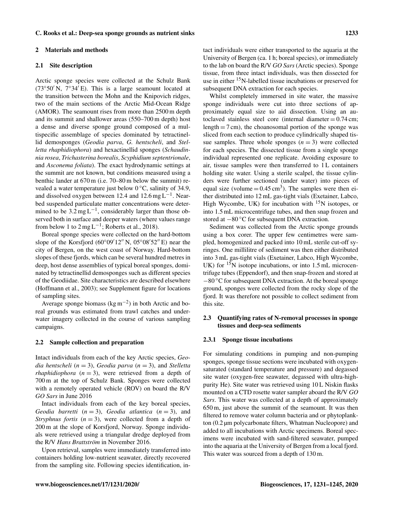#### 2 Materials and methods

#### 2.1 Site description

Arctic sponge species were collected at the Schulz Bank ( $73°50'$  N,  $7°34'E$ ). This is a large seamount located at the transition between the Mohn and the Knipovich ridges, two of the main sections of the Arctic Mid-Ocean Ridge (AMOR). The seamount rises from more than 2500 m depth and its summit and shallower areas (550–700 m depth) host a dense and diverse sponge ground composed of a multispecific assemblage of species dominated by tetractinellid demosponges (*Geodia parva*, *G. hentscheli*, and *Stelletta rhaphidiophora*) and hexactinellid sponges (*Schaudinnia rosea*, *Trichasterina borealis*, *Scyphidium septentrionale*, and *Asconema foliata*). The exact hydrodynamic settings at the summit are not known, but conditions measured using a benthic lander at 670 m (i.e. 70–80 m below the summit) revealed a water temperature just below  $0^{\circ}$ C, salinity of 34.9, and dissolved oxygen between 12.4 and 12.6 mg  $L^{-1}$ . Nearbed suspended particulate matter concentrations were determined to be  $3.2 \text{ mg L}^{-1}$ , considerably larger than those observed both in surface and deeper waters (where values range from below 1 to  $2 \text{ mg } L^{-1}$ ; Roberts et al., 2018).

Boreal sponge species were collected on the hard-bottom slope of the Korsfjord ( $60°09'12''$  N,  $05°08'52''$  E) near the city of Bergen, on the west coast of Norway. Hard-bottom slopes of these fjords, which can be several hundred metres in deep, host dense assemblies of typical boreal sponges, dominated by tetractinellid demosponges such as different species of the Geodiidae. Site characteristics are described elsewhere (Hoffmann et al., 2003); see Supplement figure for locations of sampling sites.

Average sponge biomass ( $\text{kg m}^{-2}$ ) in both Arctic and boreal grounds was estimated from trawl catches and underwater imagery collected in the course of various sampling campaigns.

# 2.2 Sample collection and preparation

Intact individuals from each of the key Arctic species, *Geodia hentscheli* (n = 3), *Geodia parva* (n = 3), and *Stelletta rhaphidiophora*  $(n = 3)$ , were retrieved from a depth of 700 m at the top of Schulz Bank. Sponges were collected with a remotely operated vehicle (ROV) on board the R/V *GO Sars* in June 2016

Intact individuals from each of the key boreal species, *Geodia barretti*  $(n = 3)$ *, Geodia atlantica*  $(n = 3)$ *, and Stryphnus fortis*  $(n = 3)$ , were collected from a depth of 200 m at the slope of Korsfjord, Norway. Sponge individuals were retrieved using a triangular dredge deployed from the R/V *Hans Brattström* in November 2016.

Upon retrieval, samples were immediately transferred into containers holding low-nutrient seawater, directly recovered from the sampling site. Following species identification, intact individuals were either transported to the aquaria at the University of Bergen (ca. 1 h; boreal species), or immediately to the lab on board the R/V *GO Sars* (Arctic species). Sponge tissue, from three intact individuals, was then dissected for use in either <sup>15</sup>N-labelled tissue incubations or preserved for subsequent DNA extraction for each species.

Whilst completely immersed in site water, the massive sponge individuals were cut into three sections of approximately equal size to aid dissection. Using an autoclaved stainless steel core (internal diameter  $= 0.74$  cm; length  $= 7$  cm), the choanosomal portion of the sponge was sliced from each section to produce cylindrically shaped tissue samples. Three whole sponges  $(n = 3)$  were collected for each species. The dissected tissue from a single sponge individual represented one replicate. Avoiding exposure to air, tissue samples were then transferred to 1 L containers holding site water. Using a sterile scalpel, the tissue cylinders were further sectioned (under water) into pieces of equal size (volume  $= 0.45 \text{ cm}^3$ ). The samples were then either distributed into 12 mL gas-tight vials (Exetainer, Labco, High Wycombe, UK) for incubation with  $15N$  isotopes, or into 1.5 mL microcentrifuge tubes, and then snap frozen and stored at −80 °C for subsequent DNA extraction.

Sediment was collected from the Arctic sponge grounds using a box corer. The upper few centimetres were sampled, homogenized and packed into 10 mL sterile cut-off syringes. One millilitre of sediment was then either distributed into 3 mL gas-tight vials (Exetainer, Labco, High Wycombe, UK) for  $15N$  isotope incubations, or into 1.5 mL microcentrifuge tubes (Eppendorf), and then snap-frozen and stored at −80 ◦C for subsequent DNA extraction. At the boreal sponge ground, sponges were collected from the rocky slope of the fjord. It was therefore not possible to collect sediment from this site.

# 2.3 Quantifying rates of N-removal processes in sponge tissues and deep-sea sediments

#### 2.3.1 Sponge tissue incubations

For simulating conditions in pumping and non-pumping sponges, sponge tissue sections were incubated with oxygensaturated (standard temperature and pressure) and degassed site water (oxygen-free seawater, degassed with ultra-highpurity He). Site water was retrieved using 10 L Niskin flasks mounted on a CTD rosette water sampler aboard the R/V *GO Sars*. This water was collected at a depth of approximately 650 m, just above the summit of the seamount. It was then filtered to remove water column bacteria and or phytoplankton (0.2 µm polycarbonate filters, Whatman Nucleopore) and added to all incubations with Arctic specimens. Boreal specimens were incubated with sand-filtered seawater, pumped into the aquaria at the University of Bergen from a local fjord. This water was sourced from a depth of 130 m.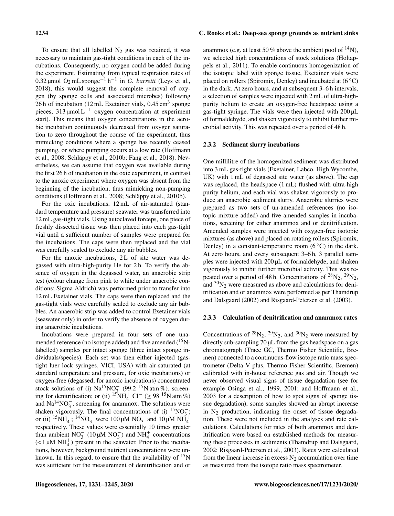To ensure that all labelled  $N_2$  gas was retained, it was necessary to maintain gas-tight conditions in each of the incubations. Consequently, no oxygen could be added during the experiment. Estimating from typical respiration rates of 0.32 µmol O<sup>2</sup> mL sponge−<sup>1</sup> h −1 in *G. barretti* (Leys et al., 2018), this would suggest the complete removal of oxygen (by sponge cells and associated microbes) following 26 h of incubation  $(12 \text{ mL}$  Exetainer vials,  $0.45 \text{ cm}^3$  sponge pieces, 313 µmol  $L^{-1}$  oxygen concentration at experiment start). This means that oxygen concentrations in the aerobic incubation continuously decreased from oxygen saturation to zero throughout the course of the experiment, thus mimicking conditions where a sponge has recently ceased pumping, or where pumping occurs at a low rate (Hoffmann et al., 2008; Schläppy et al., 2010b; Fang et al., 2018). Nevertheless, we can assume that oxygen was available during the first 26 h of incubation in the oxic experiment, in contrast to the anoxic experiment where oxygen was absent from the beginning of the incubation, thus mimicking non-pumping conditions (Hoffmann et al., 2008; Schläppy et al., 2010b).

For the oxic incubations, 12 mL of air-saturated (standard temperature and pressure) seawater was transferred into 12 mL gas-tight vials. Using autoclaved forceps, one piece of freshly dissected tissue was then placed into each gas-tight vial until a sufficient number of samples were prepared for the incubations. The caps were then replaced and the vial was carefully sealed to exclude any air bubbles.

For the anoxic incubations, 2L of site water was degassed with ultra-high-purity He for 2 h. To verify the absence of oxygen in the degassed water, an anaerobic strip test (colour change from pink to white under anaerobic conditions; Sigma Aldrich) was performed prior to transfer into 12 mL Exetainer vials. The caps were then replaced and the gas-tight vials were carefully sealed to exclude any air bubbles. An anaerobic strip was added to control Exetainer vials (seawater only) in order to verify the absence of oxygen during anaerobic incubations.

Incubations were prepared in four sets of one unamended reference (no isotope added) and five amended  $(^{15}N$ labelled) samples per intact sponge (three intact sponge individuals/species). Each set was then either injected (gastight luer lock syringes, VICI, USA) with air-saturated (at standard temperature and pressure, for oxic incubations) or oxygen-free (degassed; for anoxic incubations) concentrated stock solutions of (i)  $\text{Na}^{15}\text{NO}_3^-$  (99.2 <sup>15</sup>N atm %), screening for denitrification; or (ii) <sup>15</sup>NH<sup>+</sup><sub>4</sub> Cl<sup>−</sup> (≥ 98<sup>-15</sup>N atm %) and  $Na^{14}NO_3^-$ , screening for anammox. The solutions were shaken vigorously. The final concentrations of (i)  ${}^{15}NO_3^-$ ; or (ii)  ${}^{15}NH_4^+$ ;  ${}^{14}NO_3^-$  were 100  $\mu$ M NO<sub>3</sub> and 10  $\mu$ M NH<sub>4</sub><sup>+</sup> respectively. These values were essentially 10 times greater than ambient  $NO_3^-$  (10  $\mu$ M  $NO_3^-$ ) and  $NH_4^+$  concentrations  $(< 1 \mu M NH_4^+$ ) present in the seawater. Prior to the incubations, however, background nutrient concentrations were unknown. In this regard, to ensure that the availability of  $15N$ was sufficient for the measurement of denitrification and or

## 1234 C. Rooks et al.: Deep-sea sponge grounds as nutrient sinks

anammox (e.g. at least 50 % above the ambient pool of  $^{14}$ N), we selected high concentrations of stock solutions (Holtappels et al., 2011). To enable continuous homogenization of the isotopic label with sponge tissue, Exetainer vials were placed on rollers (Spiromix, Denley) and incubated at  $(6^{\circ}C)$ in the dark. At zero hours, and at subsequent 3–6 h intervals, a selection of samples were injected with 2 mL of ultra-highpurity helium to create an oxygen-free headspace using a gas-tight syringe. The vials were then injected with 200 µL of formaldehyde, and shaken vigorously to inhibit further microbial activity. This was repeated over a period of 48 h.

#### 2.3.2 Sediment slurry incubations

One millilitre of the homogenized sediment was distributed into 3 mL gas-tight vials (Exetainer, Labco, High Wycombe, UK) with 1 mL of degassed site water (as above). The cap was replaced, the headspace (1 mL) flushed with ultra-high purity helium, and each vial was shaken vigorously to produce an anaerobic sediment slurry. Anaerobic slurries were prepared as two sets of un-amended references (no isotopic mixture added) and five amended samples in incubations, screening for either anammox and or denitrification. Amended samples were injected with oxygen-free isotopic mixtures (as above) and placed on rotating rollers (Spiromix, Denley) in a constant-temperature room  $(6^{\circ}C)$  in the dark. At zero hours, and every subsequent 3–6 h, 3 parallel samples were injected with 200 µL of formaldehyde, and shaken vigorously to inhibit further microbial activity. This was repeated over a period of 48 h. Concentrations of  $^{28}N_2$ ,  $^{29}N_2$ , and  ${}^{30}N_2$  were measured as above and calculations for denitrification and or anammox were performed as per Thamdrup and Dalsgaard (2002) and Risgaard-Petersen et al. (2003).

#### 2.3.3 Calculation of denitrification and anammox rates

Concentrations of  $^{28}N_2$ ,  $^{29}N_2$ , and  $^{30}N_2$  were measured by directly sub-sampling 70 µL from the gas headspace on a gas chromatograph (Trace GC, Thermo Fisher Scientific, Bremen) connected to a continuous-flow isotope ratio mass spectrometer (Delta V plus, Thermo Fisher Scientific, Bremen) calibrated with in-house reference gas and air. Though we never observed visual signs of tissue degradation (see for example Osinga et al., 1999, 2001; and Hoffmann et al., 2003 for a description of how to spot signs of sponge tissue degradation), some samples showed an abrupt increase in  $N_2$  production, indicating the onset of tissue degradation. These were not included in the analyses and rate calculations. Calculations for rates of both anammox and denitrification were based on established methods for measuring these processes in sediments (Thamdrup and Dalsgaard, 2002; Risgaard-Petersen et al., 2003). Rates were calculated from the linear increase in excess  $N_2$  accumulation over time as measured from the isotope ratio mass spectrometer.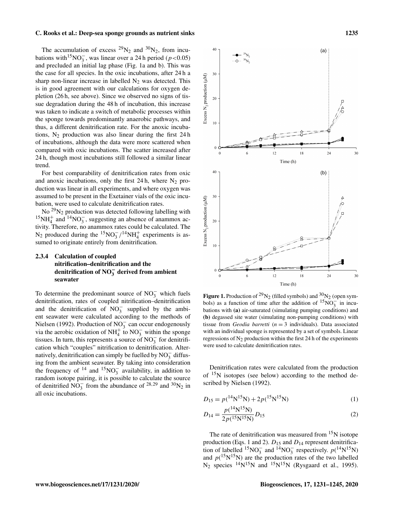The accumulation of excess  $^{29}N_2$  and  $^{30}N_2$ , from incubations with<sup>15</sup>NO<sub>3</sub>, was linear over a 24 h period ( $p < 0.05$ ) and precluded an initial lag phase (Fig. 1a and b). This was the case for all species. In the oxic incubations, after 24 h a sharp non-linear increase in labelled  $N_2$  was detected. This is in good agreement with our calculations for oxygen depletion (26 h, see above). Since we observed no signs of tissue degradation during the 48 h of incubation, this increase was taken to indicate a switch of metabolic processes within the sponge towards predominantly anaerobic pathways, and thus, a different denitrification rate. For the anoxic incubations,  $N_2$  production was also linear during the first 24 h of incubations, although the data were more scattered when compared with oxic incubations. The scatter increased after 24 h, though most incubations still followed a similar linear trend.

For best comparability of denitrification rates from oxic and anoxic incubations, only the first  $24 h$ , where  $N_2$  production was linear in all experiments, and where oxygen was assumed to be present in the Exetainer vials of the oxic incubation, were used to calculate denitrification rates.

No  $^{29}N_2$  production was detected following labelling with  $^{15}NH_4^+$  and  $^{14}NO_3^-$ , suggesting an absence of anammox activity. Therefore, no anammox rates could be calculated. The N<sub>2</sub> produced during the <sup>15</sup>NO<sub>3</sub> /<sup>14</sup>NH<sub>4</sub><sup>+</sup> experiments is assumed to originate entirely from denitrification.

# 2.3.4 Calculation of coupled nitrification–denitrification and the denitrification of NO $_3^-$  derived from ambient seawater

To determine the predominant source of  $NO_3^-$  which fuels denitrification, rates of coupled nitrification–denitrification and the denitrification of  $NO_3^-$  supplied by the ambient seawater were calculated according to the methods of Nielsen (1992). Production of NO<sub>3</sub> can occur endogenously via the aerobic oxidation of NH<sup>+</sup> to NO<sub>3</sub> within the sponge tissues. In turn, this represents a source of  $NO_3^-$  for denitrification which "couples" nitrification to denitrification. Alternatively, denitrification can simply be fuelled by  $NO_3^-$  diffusing from the ambient seawater. By taking into consideration the frequency of <sup>14</sup> and <sup>15</sup>NO<sub>3</sub> availability, in addition to random isotope pairing, it is possible to calculate the source of denitrified  $NO_3^-$  from the abundance of <sup>28,29</sup> and <sup>30</sup>N<sub>2</sub> in all oxic incubations.



**Figure 1.** Production of <sup>29</sup>N<sub>2</sub> (filled symbols) and <sup>30</sup>N<sub>2</sub> (open symbols) as a function of time after the addition of  $15\overline{NO_3^{-}}$  in incubations with (a) air-saturated (simulating pumping conditions) and (b) degassed site water (simulating non-pumping conditions) with tissue from *Geodia barretti* ( $n = 3$  individuals). Data associated with an individual sponge is represented by a set of symbols. Linear regressions of  $N_2$  production within the first 24 h of the experiments were used to calculate denitrification rates.

Denitrification rates were calculated from the production of <sup>15</sup>N isotopes (see below) according to the method described by Nielsen (1992).

$$
D_{15} = p(^{14}N^{15}N) + 2p(^{15}N^{15}N)
$$
 (1)

$$
D_{14} = \frac{p(^{14}N^{15}N)}{2p(^{15}N^{15}N)} D_{15}
$$
 (2)

The rate of denitrification was measured from  $15N$  isotope production (Eqs. 1 and 2).  $D_{15}$  and  $D_{14}$  represent denitrification of labelled <sup>15</sup>NO<sub>3</sub> and <sup>14</sup>NO<sub>3</sub> respectively.  $p(^{14}N^{15}N)$ and  $p(^{15}N^{15}N)$  are the production rates of the two labelled  $N_2$  species <sup>14</sup>N<sup>15</sup>N and <sup>15</sup>N<sup>15</sup>N (Rysgaard et al., 1995).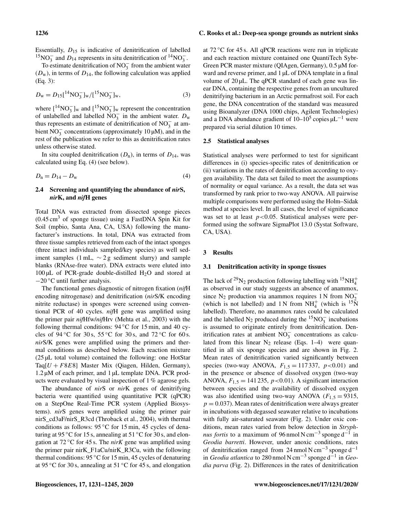Essentially,  $D_{15}$  is indicative of denitrification of labelled <sup>15</sup>NO<sub>3</sub> and D<sub>14</sub> represents in situ denitrification of <sup>14</sup>NO<sub>3</sub>.

To estimate denitrification of  $NO_3^-$  from the ambient water  $(D_w)$ , in terms of  $D_{14}$ , the following calculation was applied (Eq. 3):

$$
D_{\rm w} = D_{15} [^{14} \text{NO}_3^-]_{\rm w} / [^{15} \text{NO}_3^-]_{\rm w},\tag{3}
$$

where  $\left[\right]^{14}NO_3^-$  l<sub>w</sub> and  $\left[\right]^{15}NO_3^-$  l<sub>w</sub> represent the concentration of unlabelled and labelled  $\overline{NO_3^-}$  in the ambient water.  $D_w$ thus represents an estimate of denitrification of  $NO_3^-$  at ambient  $\overline{NO_3^-}$  concentrations (approximately 10  $\mu$ M), and in the rest of the publication we refer to this as denitrification rates unless otherwise stated.

In situ coupled denitrification  $(D_n)$ , in terms of  $D_{14}$ , was calculated using Eq. (4) (see below).

$$
D_{\rm n} = D_{14} - D_{\rm w} \tag{4}
$$

# 2.4 Screening and quantifying the abundance of *nir*S, *nir*K, and *nif*H genes

Total DNA was extracted from dissected sponge pieces  $(0.45 \text{ cm}^3)$  of sponge tissue) using a FastDNA Spin Kit for Soil (mpbio, Santa Ana, CA, USA) following the manufacturer's instructions. In total, DNA was extracted from three tissue samples retrieved from each of the intact sponges (three intact individuals sampled/key species) as well sediment samples (1 mL,  $\sim$  2 g sediment slurry) and sample blanks (RNAse-free water). DNA extracts were eluted into  $100 \mu L$  of PCR-grade double-distilled H<sub>2</sub>O and stored at  $-20$  °C until further analysis.

The functional genes diagnostic of nitrogen fixation (*nif*H encoding nitrogenase) and denitrification (*nir*S/K encoding nitrite reductase) in sponges were screened using conventional PCR of 40 cycles. *nif*H gene was amplified using the primer pair *nif*Hfw/*nif*Hrv (Mehta et al., 2003) with the following thermal conditions:  $94\degree C$  for 15 min, and 40 cycles of 94 °C for 30 s, 55 °C for 30 s, and 72 °C for 60 s. *nir*S/K genes were amplified using the primers and thermal conditions as described below. Each reaction mixture (25 µL total volume) contained the following: one HotStar Taq $[U + F8E8]$  Master Mix (Qiagen, Hilden, Germany), 1.2 µM of each primer, and 1 µL template DNA. PCR products were evaluated by visual inspection of 1 % agarose gels.

The abundance of *nir*S or *nir*K genes of denitrifying bacteria were quantified using quantitative PCR (qPCR) on a StepOne Real-Time PCR system (Applied Biosystems). *nir*S genes were amplified using the primer pair nirS\_cd3aF/nirS\_R3cd (Throback et al., 2004), with thermal conditions as follows:  $95^{\circ}$ C for 15 min, 45 cycles of denaturing at 95 °C for 15 s, annealing at 51 °C for 30 s, and elongation at 72 ◦C for 45 s. The *nirK* gene was amplified using the primer pair nirK\_F1aCu/nirK\_R3Cu, with the following thermal conditions: 95 ◦C for 15 min, 45 cycles of denaturing at 95 °C for 30 s, annealing at 51 °C for 45 s, and elongation at  $72^{\circ}$ C for 45 s. All qPCR reactions were run in triplicate and each reaction mixture contained one QuantiTech Sybr-Green PCR master mixture (QIAgen, Germany), 0.5 µM forward and reverse primer, and 1 µL of DNA template in a final volume of  $20 \mu L$ . The qPCR standard of each gene was linear DNA, containing the respective genes from an uncultured denitrifying bacterium in an Arctic permafrost soil. For each gene, the DNA concentration of the standard was measured using Bioanalyzer (DNA 1000 chips, Agilent Technologies) and a DNA abundance gradient of  $10-10^5$  copies  $\mu L^{-1}$  were prepared via serial dilution 10 times.

#### 2.5 Statistical analyses

Statistical analyses were performed to test for significant differences in (i) species-specific rates of denitrification or (ii) variations in the rates of denitrification according to oxygen availability. The data set failed to meet the assumptions of normality or equal variance. As a result, the data set was transformed by rank prior to two-way ANOVA. All pairwise multiple comparisons were performed using the Holm–Sidak method at species level. In all cases, the level of significance was set to at least  $p < 0.05$ . Statistical analyses were performed using the software SigmaPlot 13.0 (Systat Software, CA, USA).

#### 3 Results

#### 3.1 Denitrification activity in sponge tissues

The lack of <sup>29</sup>N<sub>2</sub> production following labelling with <sup>15</sup>NH<sup>+</sup><sub>4</sub> as observed in our study suggests an absence of anammox, since N<sub>2</sub> production via anammox requires 1 N from NO<sub> $_{15}$ </sub> (which is not labelled) and 1 N from  $NH_4^+$  (which is  $^{15}$ N) labelled). Therefore, no anammox rates could be calculated and the labelled  $N_2$  produced during the  $15NO_3^-$  incubations is assumed to originate entirely from denitrification. Denitrification rates at ambient  $NO_3^-$  concentrations as calculated from this linear  $N_2$  release (Eqs. 1–4) were quantified in all six sponge species and are shown in Fig. 2. Mean rates of denitrification varied significantly between species (two-way ANOVA,  $F_{1,5} = 117337$ ,  $p < 0.01$ ) and in the presence or absence of dissolved oxygen (two-way ANOVA,  $F_{1,5} = 141235$ ,  $p < 0.01$ ). A significant interaction between species and the availability of dissolved oxygen was also identified using two-way ANOVA ( $F_{1,5} = 9315$ ,  $p = 0.037$ ). Mean rates of denitrification were always greater in incubations with degassed seawater relative to incubations with fully air-saturated seawater (Fig. 2). Under oxic conditions, mean rates varied from below detection in *Stryphnus fortis* to a maximum of 96 nmol N cm<sup>-3</sup> sponge d<sup>-1</sup> in *Geodia barretti*. However, under anoxic conditions, rates of denitrification ranged from 24 nmol N cm<sup>-3</sup> sponge d<sup>-1</sup> in *Geodia atlantica* to 280 nmol N cm−<sup>3</sup> sponge d−<sup>1</sup> in *Geodia parva* (Fig. 2). Differences in the rates of denitrification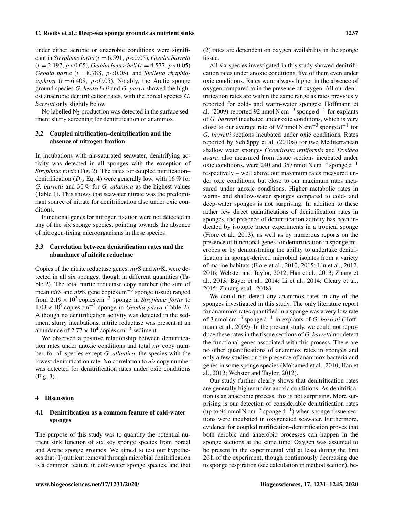under either aerobic or anaerobic conditions were significant in *Stryphnus fortis* (t = 6.591, p<0.05), *Geodia barretti* (t = 2.197, p<0.05), *Geodia hentscheli* (t = 4.577, p<0.05) *Geodia parva* ( $t = 8.788$ ,  $p < 0.05$ ), and *Stelletta rhaphidiophora* ( $t = 6.408$ ,  $p < 0.05$ ). Notably, the Arctic sponge ground species *G. hentscheli* and *G. parva* showed the highest anaerobic denitrification rates, with the boreal species *G. barretti* only slightly below.

No labelled  $N_2$  production was detected in the surface sediment slurry screening for denitrification or anammox.

# 3.2 Coupled nitrification–denitrification and the absence of nitrogen fixation

In incubations with air-saturated seawater, denitrifying activity was detected in all sponges with the exception of *Stryphnus fortis* (Fig. 2). The rates for coupled nitrification– denitrification ( $D_n$ , Eq. 4) were generally low, with 16 % for *G. barretti* and 30 % for *G. atlantica* as the highest values (Table 1). This shows that seawater nitrate was the predominant source of nitrate for denitrification also under oxic conditions.

Functional genes for nitrogen fixation were not detected in any of the six sponge species, pointing towards the absence of nitrogen-fixing microorganisms in these species.

# 3.3 Correlation between denitrification rates and the abundance of nitrite reductase

Copies of the nitrite reductase genes, *nir*S and *nir*K, were detected in all six sponges, though in different quantities (Table 2). The total nitrite reductase copy number (the sum of mean *nir*S and *nir*K gene copies cm−<sup>3</sup> sponge tissue) ranged from  $2.19 \times 10^3$  copies cm<sup>-3</sup> sponge in *Stryphnus fortis* to 1.03 × 10<sup>9</sup> copies cm−<sup>3</sup> sponge in *Geodia parva* (Table 2). Although no denitrification activity was detected in the sediment slurry incubations, nitrite reductase was present at an abundance of  $2.77 \times 10^4$  copies cm<sup>-3</sup> sediment.

We observed a positive relationship between denitrification rates under anoxic conditions and total *nir* copy number, for all species except *G. atlantica*, the species with the lowest denitrification rate. No correlation to *nir* copy number was detected for denitrification rates under oxic conditions (Fig. 3).

## 4 Discussion

# 4.1 Denitrification as a common feature of cold-water sponges

The purpose of this study was to quantify the potential nutrient sink function of six key sponge species from boreal and Arctic sponge grounds. We aimed to test our hypotheses that (1) nutrient removal through microbial denitrification is a common feature in cold-water sponge species, and that (2) rates are dependent on oxygen availability in the sponge tissue.

All six species investigated in this study showed denitrification rates under anoxic conditions, five of them even under oxic conditions. Rates were always higher in the absence of oxygen compared to in the presence of oxygen. All our denitrification rates are within the same range as rates previously reported for cold- and warm-water sponges: Hoffmann et al. (2009) reported 92 nmol N cm<sup>-3</sup> sponge d<sup>-1</sup> for explants of *G. barretti* incubated under oxic conditions, which is very close to our average rate of 97 nmol N cm<sup>-3</sup> sponge  $d^{-1}$  for *G. barretti* sections incubated under oxic conditions. Rates reported by Schläppy et al. (2010a) for two Mediterranean shallow water sponges *Chondrosia reniformis* and *Dysidea avara*, also measured from tissue sections incubated under oxic conditions, were 240 and 357 nmol N cm<sup>-3</sup> sponge d<sup>-1</sup> respectively – well above our maximum rates measured under oxic conditions, but close to our maximum rates measured under anoxic conditions. Higher metabolic rates in warm- and shallow-water sponges compared to cold- and deep-water sponges is not surprising. In addition to these rather few direct quantifications of denitrification rates in sponges, the presence of denitrification activity has been indicated by isotopic tracer experiments in a tropical sponge (Fiore et al., 2013), as well as by numerous reports on the presence of functional genes for denitrification in sponge microbes or by demonstrating the ability to undertake denitrification in sponge-derived microbial isolates from a variety of marine habitats (Fiore et al., 2010, 2015; Liu et al., 2012, 2016; Webster and Taylor, 2012; Han et al., 2013; Zhang et al., 2013; Bayer et al., 2014; Li et al., 2014; Cleary et al., 2015; Zhuang et al., 2018).

We could not detect any anammox rates in any of the sponges investigated in this study. The only literature report for anammox rates quantified in a sponge was a very low rate of 3 nmol cm−<sup>3</sup> sponge d−<sup>1</sup> in explants of *G. barretti* (Hoffmann et al., 2009). In the present study, we could not reproduce these rates in the tissue sections of *G. barretti* nor detect the functional genes associated with this process. There are no other quantifications of anammox rates in sponges and only a few studies on the presence of anammox bacteria and genes in some sponge species (Mohamed et al., 2010; Han et al., 2012; Webster and Taylor, 2012).

Our study further clearly shows that denitrification rates are generally higher under anoxic conditions. As denitrification is an anaerobic process, this is not surprising. More surprising is our detection of considerable denitrification rates (up to 96 nmol N cm<sup>-3</sup> sponge d<sup>-1</sup>) when sponge tissue sections were incubated in oxygenated seawater. Furthermore, evidence for coupled nitrification–denitrification proves that both aerobic and anaerobic processes can happen in the sponge sections at the same time. Oxygen was assumed to be present in the experimental vial at least during the first 26 h of the experiment, though continuously decreasing due to sponge respiration (see calculation in method section), be-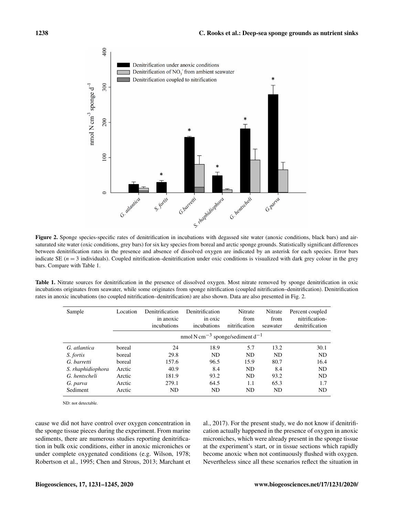

Figure 2. Sponge species-specific rates of denitrification in incubations with degassed site water (anoxic conditions, black bars) and airsaturated site water (oxic conditions, grey bars) for six key species from boreal and arctic sponge grounds. Statistically significant differences between denitrification rates in the presence and absence of dissolved oxygen are indicated by an asterisk for each species. Error bars indicate SE  $(n = 3$  individuals). Coupled nitrification–denitrification under oxic conditions is visualized with dark grey colour in the grey bars. Compare with Table 1.

Table 1. Nitrate sources for denitrification in the presence of dissolved oxygen. Most nitrate removed by sponge denitrification in oxic incubations originates from seawater, while some originates from sponge nitrification (coupled nitrification–denitrification). Denitrification rates in anoxic incubations (no coupled nitrification–denitrification) are also shown. Data are also presented in Fig. 2.

| Sample            | Location | Denitrification<br>in anoxic<br>incubations                          | Denitrification<br>in oxic<br>incubations | Nitrate<br>from<br>nitrification | Nitrate<br>from<br>seawater | Percent coupled<br>nitrification-<br>denitrification |  |
|-------------------|----------|----------------------------------------------------------------------|-------------------------------------------|----------------------------------|-----------------------------|------------------------------------------------------|--|
|                   |          | nmol N cm <sup><math>-3</math></sup> sponge/sediment d <sup>-1</sup> |                                           |                                  |                             |                                                      |  |
| G. atlantica      | boreal   | 24                                                                   | 18.9                                      | 5.7                              | 13.2                        | 30.1                                                 |  |
| S. fortis         | boreal   | 29.8                                                                 | ND.                                       | <b>ND</b>                        | <b>ND</b>                   | N <sub>D</sub>                                       |  |
| G. barretti       | boreal   | 157.6                                                                | 96.5                                      | 15.9                             | 80.7                        | 16.4                                                 |  |
| S. rhaphidiophora | Arctic   | 40.9                                                                 | 8.4                                       | <b>ND</b>                        | 8.4                         | <b>ND</b>                                            |  |
| G. hentscheli     | Arctic   | 181.9                                                                | 93.2                                      | N <sub>D</sub>                   | 93.2                        | ND                                                   |  |
| G. parva          | Arctic   | 279.1                                                                | 64.5                                      | 1.1                              | 65.3                        | 1.7                                                  |  |
| Sediment          | Arctic   | ND                                                                   | ND                                        | ND                               | ND                          | ND                                                   |  |

ND: not detectable.

cause we did not have control over oxygen concentration in the sponge tissue pieces during the experiment. From marine sediments, there are numerous studies reporting denitrification in bulk oxic conditions, either in anoxic microniches or under complete oxygenated conditions (e.g. Wilson, 1978; Robertson et al., 1995; Chen and Strous, 2013; Marchant et al., 2017). For the present study, we do not know if denitrification actually happened in the presence of oxygen in anoxic microniches, which were already present in the sponge tissue at the experiment's start, or in tissue sections which rapidly become anoxic when not continuously flushed with oxygen. Nevertheless since all these scenarios reflect the situation in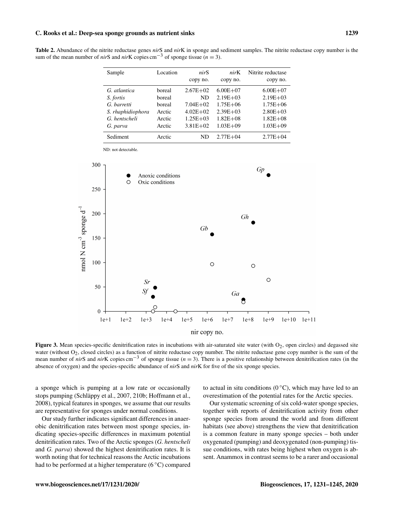Table 2. Abundance of the nitrite reductase genes *nir*S and *nir*K in sponge and sediment samples. The nitrite reductase copy number is the sum of the mean number of *nir*S and *nirK* copies cm<sup>-3</sup> of sponge tissue ( $n = 3$ ).

| Sample            | Location | nirS         | nirK         | Nitrite reductase |
|-------------------|----------|--------------|--------------|-------------------|
|                   |          | copy no.     | copy no.     | copy no.          |
| G. atlantica      | horeal   | $2.67E + 02$ | $6.00E + 07$ | $6.00E + 07$      |
| S. fortis         | boreal   | ND           | $2.19E + 03$ | $2.19E + 03$      |
| G. barretti       | boreal   | $7.04E + 02$ | $1.75E + 06$ | $1.75E + 06$      |
| S. rhaphidiophora | Arctic   | $4.02E + 02$ | $2.39E + 03$ | $2.80E + 03$      |
| G. hentscheli     | Arctic   | $1.25E + 03$ | $1.82E + 08$ | $1.82E + 08$      |
| G. parva          | Arctic   | $3.81E + 02$ | $1.03E + 09$ | $1.03E + 09$      |
| Sediment          | Arctic   | ND           | $2.77E + 04$ | $2.77E + 04$      |

ND: not detectable.



Figure 3. Mean species-specific denitrification rates in incubations with air-saturated site water (with  $O_2$ , open circles) and degassed site water (without O<sub>2</sub>, closed circles) as a function of nitrite reductase copy number. The nitrite reductase gene copy number is the sum of the mean number of *nir*S and *nirK* copies cm<sup>−3</sup> of sponge tissue (*n* = 3). There is a positive relationship between denitrification rates (in the absence of oxygen) and the species-specific abundance of *nir*S and *nir*K for five of the six sponge species.

a sponge which is pumping at a low rate or occasionally stops pumping (Schläppy et al., 2007, 210b; Hoffmann et al., 2008), typical features in sponges, we assume that our results are representative for sponges under normal conditions.

Our study further indicates significant differences in anaerobic denitrification rates between most sponge species, indicating species-specific differences in maximum potential denitrification rates. Two of the Arctic sponges (*G. hentscheli* and *G. parva*) showed the highest denitrification rates. It is worth noting that for technical reasons the Arctic incubations had to be performed at a higher temperature (6 ◦C) compared to actual in situ conditions ( $0^{\circ}$ C), which may have led to an overestimation of the potential rates for the Arctic species.

Our systematic screening of six cold-water sponge species, together with reports of denitrification activity from other sponge species from around the world and from different habitats (see above) strengthens the view that denitrification is a common feature in many sponge species – both under oxygenated (pumping) and deoxygenated (non-pumping) tissue conditions, with rates being highest when oxygen is absent. Anammox in contrast seems to be a rarer and occasional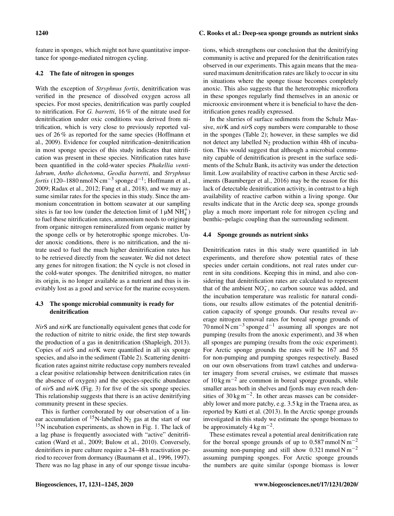feature in sponges, which might not have quantitative importance for sponge-mediated nitrogen cycling.

# 4.2 The fate of nitrogen in sponges

With the exception of *Stryphnus fortis*, denitrification was verified in the presence of dissolved oxygen across all species. For most species, denitrification was partly coupled to nitrification. For *G. barretti*, 16 % of the nitrate used for denitrification under oxic conditions was derived from nitrification, which is very close to previously reported values of 26 % as reported for the same species (Hoffmann et al., 2009). Evidence for coupled nitrification–denitrification in most sponge species of this study indicates that nitrification was present in these species. Nitrification rates have been quantified in the cold-water species *Phakellia ventilabrum*, *Antho dichotoma*, *Geodia barretti*, and *Stryphnus fortis* (120–1880 nmol N cm−<sup>3</sup> sponge d−<sup>1</sup> ; Hoffmann et al., 2009; Radax et al., 2012; Fang et al., 2018), and we may assume similar rates for the species in this study. Since the ammonium concentration in bottom seawater at our sampling sites is far too low (under the detection limit of  $1 \mu M \overrightarrow{NH_4^+}$ ) to fuel these nitrification rates, ammonium needs to originate from organic nitrogen remineralized from organic matter by the sponge cells or by heterotrophic sponge microbes. Under anoxic conditions, there is no nitrification, and the nitrate used to fuel the much higher denitrification rates has to be retrieved directly from the seawater. We did not detect any genes for nitrogen fixation; the N cycle is not closed in the cold-water sponges. The denitrified nitrogen, no matter its origin, is no longer available as a nutrient and thus is inevitably lost as a good and service for the marine ecosystem.

# 4.3 The sponge microbial community is ready for denitrification

*Nir*S and *nir*K are functionally equivalent genes that code for the reduction of nitrite to nitric oxide, the first step towards the production of a gas in denitrification (Shapleigh, 2013). Copies of *nir*S and *nir*K were quantified in all six sponge species, and also in the sediment (Table 2). Scattering denitrification rates against nitrite reductase copy numbers revealed a clear positive relationship between denitrification rates (in the absence of oxygen) and the species-specific abundance of *nir*S and *nir*K (Fig. 3) for five of the six sponge species. This relationship suggests that there is an active denitrifying community present in these species.

This is further corroborated by our observation of a linear accumulation of  $^{15}N$ -labelled N<sub>2</sub> gas at the start of our  $15$ N incubation experiments, as shown in Fig. 1. The lack of a lag phase is frequently associated with "active" denitrification (Ward et al., 2009; Bulow et al., 2010). Conversely, denitrifiers in pure culture require a 24–48 h reactivation period to recover from dormancy (Baumann et al., 1996, 1997). There was no lag phase in any of our sponge tissue incubations, which strengthens our conclusion that the denitrifying community is active and prepared for the denitrification rates observed in our experiments. This again means that the measured maximum denitrification rates are likely to occur in situ in situations where the sponge tissue becomes completely anoxic. This also suggests that the heterotrophic microflora in these sponges regularly find themselves in an anoxic or microoxic environment where it is beneficial to have the denitrification genes readily expressed.

In the slurries of surface sediments from the Schulz Massive, *nir*K and *nir*S copy numbers were comparable to those in the sponges (Table 2); however, in these samples we did not detect any labelled  $N_2$  production within 48h of incubation. This would suggest that although a microbial community capable of denitrification is present in the surface sediments of the Schulz Bank, its activity was under the detection limit. Low availability of reactive carbon in these Arctic sediments (Baumberger et al., 2016) may be the reason for this lack of detectable denitrification activity, in contrast to a high availability of reactive carbon within a living sponge. Our results indicate that in the Arctic deep sea, sponge grounds play a much more important role for nitrogen cycling and benthic–pelagic coupling than the surrounding sediment.

# 4.4 Sponge grounds as nutrient sinks

Denitrification rates in this study were quantified in lab experiments, and therefore show potential rates of these species under certain conditions, not real rates under current in situ conditions. Keeping this in mind, and also considering that denitrification rates are calculated to represent that of the ambient  $NO_3^-$ , no carbon source was added, and the incubation temperature was realistic for natural conditions, our results allow estimates of the potential denitrification capacity of sponge grounds. Our results reveal average nitrogen removal rates for boreal sponge grounds of 70 nmol N cm−<sup>3</sup> sponge d−<sup>1</sup> assuming all sponges are not pumping (results from the anoxic experiment), and 38 when all sponges are pumping (results from the oxic experiment). For Arctic sponge grounds the rates will be 167 and 55 for non-pumping and pumping sponges respectively. Based on our own observations from trawl catches and underwater imagery from several cruises, we estimate that masses of  $10 \text{ kg m}^{-2}$  are common in boreal sponge grounds, while smaller areas both in shelves and fjords may even reach densities of 30 kg m−<sup>2</sup> . In other areas masses can be considerably lower and more patchy, e.g. 3.5 kg in the Traena area, as reported by Kutti et al. (2013). In the Arctic sponge grounds investigated in this study we estimate the sponge biomass to be approximately  $4 \text{ kg m}^{-2}$ .

These estimates reveal a potential areal denitrification rate for the boreal sponge grounds of up to 0.587 mmol N m<sup>-2</sup> assuming non-pumping and still show 0.321 mmol  $N m^{-2}$ assuming pumping sponges. For Arctic sponge grounds the numbers are quite similar (sponge biomass is lower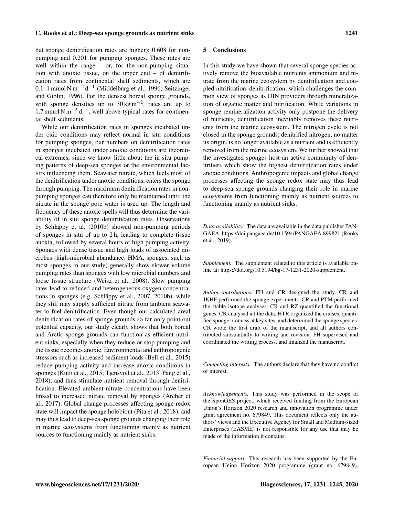but sponge denitrification rates are higher): 0.608 for nonpumping and 0.201 for pumping sponges. These rates are well within the range  $-$  or, for the non-pumping situation with anoxic tissue, on the upper end – of denitrification rates from continental shelf sediments, which are 0.1–1 mmol N m<sup>-2</sup> d<sup>-1</sup> (Middelburg et al., 1996; Seitzinger and Giblin, 1996). For the densest boreal sponge grounds, with sponge densities up to  $30 \text{ kg m}^{-2}$ , rates are up to 1.7 mmol N m<sup>-2</sup> d<sup>-1</sup>, well above typical rates for continental shelf sediments.

While our denitrification rates in sponges incubated under oxic conditions may reflect normal in situ conditions for pumping sponges, our numbers on denitrification rates in sponges incubated under anoxic conditions are theoretical extremes, since we know little about the in situ pumping patterns of deep-sea sponges or the environmental factors influencing them. Seawater nitrate, which fuels most of the denitrification under anoxic conditions, enters the sponge through pumping. The maximum denitrification rates in nonpumping sponges can therefore only be maintained until the nitrate in the sponge pore water is used up. The length and frequency of these anoxic spells will thus determine the variability of in situ sponge denitrification rates. Observations by Schläppy et al. (2010b) showed non-pumping periods of sponges in situ of up to 2 h, leading to complete tissue anoxia, followed by several hours of high pumping activity. Sponges with dense tissue and high loads of associated microbes (high-microbial abundance, HMA, sponges, such as most sponges in our study) generally show slower volume pumping rates than sponges with low microbial numbers and loose tissue structure (Weisz et al., 2008). Slow pumping rates lead to reduced and heterogeneous oxygen concentrations in sponges (e.g. Schläppy et al., 2007, 2010b), while they still may supply sufficient nitrate from ambient seawater to fuel denitrification. Even though our calculated areal denitrification rates of sponge grounds so far only point out potential capacity, our study clearly shows that both boreal and Arctic sponge grounds can function as efficient nutrient sinks, especially when they reduce or stop pumping and the tissue becomes anoxic. Environmental and anthropogenic stressors such as increased sediment loads (Bell et al., 2015) reduce pumping activity and increase anoxic conditions in sponges (Kutti et al., 2015; Tjensvoll et al., 2013; Fang et al., 2018), and thus stimulate nutrient removal through denitrification. Elevated ambient nitrate concentrations have been linked to increased nitrate removal by sponges (Archer et al., 2017). Global change processes affecting sponge redox state will impact the sponge holobiont (Pita et al., 2018), and may thus lead to deep-sea sponge grounds changing their role in marine ecosystems from functioning mainly as nutrient sources to functioning mainly as nutrient sinks.

#### 5 Conclusions

In this study we have shown that several sponge species actively remove the bioavailable nutrients ammonium and nitrate from the marine ecosystem by denitrification and coupled nitrification–denitrification, which challenges the common view of sponges as DIN providers through mineralization of organic matter and nitrification. While variations in sponge remineralization activity only postpone the delivery of nutrients, denitrification inevitably removes these nutrients from the marine ecosystem. The nitrogen cycle is not closed in the sponge grounds; denitrified nitrogen, no matter its origin, is no longer available as a nutrient and is efficiently removed from the marine ecosystem. We further showed that the investigated sponges host an active community of denitrifiers which show the highest denitrification rates under anoxic conditions. Anthropogenic impacts and global change processes affecting the sponge redox state may thus lead to deep-sea sponge grounds changing their role in marine ecosystems from functioning mainly as nutrient sources to functioning mainly as nutrient sinks.

*Data availability.* The data are available in the data publisher PAN-GAEA, <https://doi.pangaea.de/10.1594/PANGAEA.899821> (Rooks et al., 2019).

*Supplement.* The supplement related to this article is available online at: [https://doi.org/10.5194/bg-17-1231-2020-supplement.](https://doi.org/10.5194/bg-17-1231-2020-supplement)

*Author contributions.* FH and CR designed the study. CR and JKHF performed the sponge experiments. CR and PTM performed the stable isotope analyses. CR and RZ quantified the functional genes. CR analysed all the data. HTR organized the cruises, quantified sponge biomass at key sites, and determined the sponge species. CR wrote the first draft of the manuscript, and all authors contributed substantially to writing and revision. FH supervised and coordinated the writing process, and finalized the manuscript.

*Competing interests.* The authors declare that they have no conflict of interest.

*Acknowledgements.* This study was performed in the scope of the SponGES project, which received funding from the European Union's Horizon 2020 research and innovation programme under grant agreement no. 679849. This document reflects only the authors' views and the Executive Agency for Small and Medium-sized Enterprises (EASME) is not responsible for any use that may be made of the information it contains.

*Financial support.* This research has been supported by the European Union Horizon 2020 programme (grant no. 679849),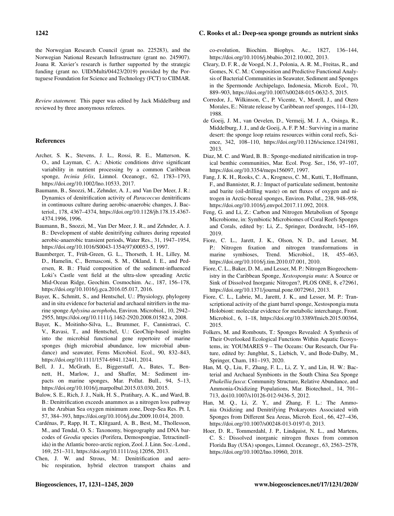the Norwegian Research Council (grant no. 225283), and the Norwegian National Research Infrastructure (grant no. 245907). Joana R. Xavier's research is further supported by the strategic funding (grant no. UID/Multi/04423/2019) provided by the Portuguese Foundation for Science and Technology (FCT) to CIIMAR.

*Review statement.* This paper was edited by Jack Middelburg and reviewed by three anonymous referees.

#### References

- Archer, S. K., Stevens, J. L., Rossi, R. E., Matterson, K. O., and Layman, C. A.: Abiotic conditions drive significant variability in nutrient processing by a common Caribbean sponge, *Ircinia felix*, Limnol. Oceanogr., 62, 1783–1793, https://doi.org[/10.1002/lno.10533,](https://doi.org/10.1002/lno.10533) 2017.
- Baumann, B., Snozzi, M., Zehnder, A. J., and Van Der Meer, J. R.: Dynamics of denitrification activity of *Paracoccus* denitrificans in continuous culture during aerobic-anaerobic changes, J. Bacteriol., 178, 4367–4374, https://doi.org[/10.1128/jb.178.15.4367-](https://doi.org/10.1128/jb.178.15.4367-4374.1996) [4374.1996,](https://doi.org/10.1128/jb.178.15.4367-4374.1996) 1996.
- Baumann, B., Snozzi, M., Van Der Meer, J. R., and Zehnder, A. J. B.: Development of stable denitrifying cultures during repeated aerobic-anaerobic transient periods, Water Res., 31, 1947–1954, https://doi.org[/10.1016/S0043-1354\(97\)00053-5,](https://doi.org/10.1016/S0043-1354(97)00053-5) 1997.
- Baumberger, T., Früh-Green, G. L., Thorseth, I. H., Lilley, M. D., Hamelin, C., Bernasconi, S. M., Okland, I. E., and Pedersen, R. B.: Fluid composition of the sediment-influenced Loki's Castle vent field at the ultra-slow spreading Arctic Mid-Ocean Ridge, Geochim. Cosmochim. Ac., 187, 156–178, https://doi.org[/10.1016/j.gca.2016.05.017,](https://doi.org/10.1016/j.gca.2016.05.017) 2016.
- Bayer, K., Schmitt, S., and Hentschel, U.: Physiology, phylogeny and in situ evidence for bacterial and archaeal nitrifiers in the marine sponge *Aplysina aerophoba*, Environ. Microbiol., 10, 2942– 2955, https://doi.org[/10.1111/j.1462-2920.2008.01582.x,](https://doi.org/10.1111/j.1462-2920.2008.01582.x) 2008.
- Bayer, K., Moitinho-Silva, L., Brummer, F., Cannistraci, C. V., Ravasi, T., and Hentschel, U.: GeoChip-based insights into the microbial functional gene repertoire of marine sponges (high microbial abundance, low microbial abundance) and seawater, Fems Microbiol. Ecol., 90, 832–843, https://doi.org[/10.1111/1574-6941.12441,](https://doi.org/10.1111/1574-6941.12441) 2014.
- Bell, J. J., McGrath, E., Biggerstaff, A., Bates, T., Bennett, H., Marlow, J., and Shaffer, M.: Sediment impacts on marine sponges, Mar. Pollut. Bull., 94, 5–13, https://doi.org[/10.1016/j.marpolbul.2015.03.030,](https://doi.org/10.1016/j.marpolbul.2015.03.030) 2015.
- Bulow, S. E., Rich, J. J., Naik, H. S., Pratihary, A. K., and Ward, B. B.: Denitrification exceeds anammox as a nitrogen loss pathway in the Arabian Sea oxygen minimum zone, Deep-Sea Res. Pt. I, 57, 384–393, https://doi.org[/10.1016/j.dsr.2009.10.014,](https://doi.org/10.1016/j.dsr.2009.10.014) 2010.
- Cardénas, P., Rapp, H. T., Klitgaard, A. B., Best, M., Thollesson, M., and Tendal, O. S.: Taxonomy, biogeography and DNA barcodes of *Geodia* species (Porifera, Demospongiae, Tetractinellida) in the Atlantic boreo-arctic region, Zool. J. Linn. Soc.-Lond., 169, 251–311, https://doi.org[/10.1111/zoj.12056,](https://doi.org/10.1111/zoj.12056) 2013.
- Chen, J. W. and Strous, M.: Denitrification and aerobic respiration, hybrid electron transport chains and

co-evolution, Biochim. Biophys. Ac., 1827, 136–144, https://doi.org[/10.1016/j.bbabio.2012.10.002,](https://doi.org/10.1016/j.bbabio.2012.10.002) 2013.

- Cleary, D. F. R., de Voogd, N. J., Polonia, A. R. M., Freitas, R., and Gomes, N. C. M.: Composition and Predictive Functional Analysis of Bacterial Communities in Seawater, Sediment and Sponges in the Spermonde Archipelago, Indonesia, Microb. Ecol., 70, 889–903, https://doi.org[/10.1007/s00248-015-0632-5,](https://doi.org/10.1007/s00248-015-0632-5) 2015.
- Corredor, J., Wilkinson, C., P. Vicente, V., Morell, J., and Otero Morales, E.: Nitrate release by Caribbean reef sponges, 114–120, 1988.
- de Goeij, J. M., van Oevelen, D., Vermeij, M. J. A., Osinga, R., Middelburg, J. J., and de Goeij, A. F. P. M.: Surviving in a marine desert: the sponge loop retains resources within coral reefs, Science, 342, 108–110, https://doi.org[/10.1126/science.1241981,](https://doi.org/10.1126/science.1241981) 2013.
- Diaz, M. C. and Ward, B. B.: Sponge-mediated nitrification in tropical benthic communities, Mar. Ecol. Prog. Ser., 156, 97–107, https://doi.org[/10.3354/meps156097,](https://doi.org/10.3354/meps156097) 1997.
- Fang, J. K. H., Rooks, C. A., Krogness, C. M., Kutti, T., Hoffmann, F., and Bannister, R. J.: Impact of particulate sediment, bentonite and barite (oil-drilling waste) on net fluxes of oxygen and nitrogen in Arctic-boreal sponges, Environ. Pollut., 238, 948–958, https://doi.org[/10.1016/j.envpol.2017.11.092,](https://doi.org/10.1016/j.envpol.2017.11.092) 2018.
- Feng, G. and Li, Z.: Carbon and Nitrogen Metabolism of Sponge Microbiome, in: Symbiotic Microbiomes of Coral Reefs Sponges and Corals, edited by: Li, Z., Springer, Dordrecht, 145–169, 2019.
- Fiore, C. L., Jarett, J. K., Olson, N. D., and Lesser, M. P.: Nitrogen fixation and nitrogen transformations in marine symbioses, Trend. Microbiol., 18, 455–463, https://doi.org[/10.1016/j.tim.2010.07.001,](https://doi.org/10.1016/j.tim.2010.07.001) 2010.
- Fiore, C. L., Baker, D. M., and Lesser, M. P.: Nitrogen Biogeochemistry in the Caribbean Sponge, *Xestospongia muta*: A Source or Sink of Dissolved Inorganic Nitrogen?, PLOS ONE, 8, e72961, https://doi.org[/10.1371/journal.pone.0072961,](https://doi.org/10.1371/journal.pone.0072961) 2013.
- Fiore, C. L., Labrie, M., Jarettt, J. K., and Lesser, M. P.: Transcriptional activity of the giant barrel sponge, Xestospongia muta Holobiont: molecular evidence for metabolic interchange, Front. Microbiol., 6, 1–18, https://doi.org[/10.3389/fmicb.2015.00364,](https://doi.org/10.3389/fmicb.2015.00364) 2015.
- Folkers, M. and Rombouts, T.: Sponges Revealed: A Synthesis of Their Overlooked Ecological Functions Within Aquatic Ecosystems, in: YOUMARES 9 – The Oceans: Our Research, Our Future, edited by: Jungblut, S., Liebich, V., and Bode-Dalby, M., Springer, Cham, 181–193, 2020.
- Han, M. Q., Liu, F., Zhang, F. L., Li, Z. Y., and Lin, H. W.: Bacterial and Archaeal Symbionts in the South China Sea Sponge *Phakellia fusca*: Community Structure, Relative Abundance, and Ammonia-Oxidizing Populations, Mar. Biotechnol., 14, 701– 713, doi10.1007/s10126-012-9436-5, 2012.
- Han, M. Q., Li, Z. Y., and Zhang, F. L.: The Ammonia Oxidizing and Denitrifying Prokaryotes Associated with Sponges from Different Sea Areas, Microb. Ecol., 66, 427–436, https://doi.org[/10.1007/s00248-013-0197-0,](https://doi.org/10.1007/s00248-013-0197-0) 2013.
- Hoer, D. R., Tommerdahl, J. P., Lindquist, N. L., and Martens, C. S.: Dissolved inorganic nitrogen fluxes from common Florida Bay (USA) sponges, Limnol. Oceanogr., 63, 2563–2578, https://doi.org[/10.1002/lno.10960,](https://doi.org/10.1002/lno.10960) 2018.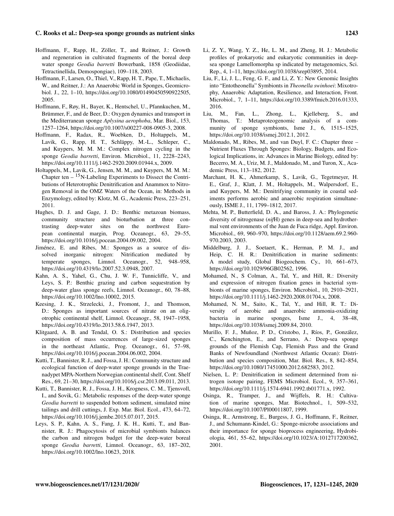- Hoffmann, F., Rapp, H., Zöller, T., and Reitner, J.: Growth and regeneration in cultivated fragments of the boreal deep water sponge *Geodia barretti* Bowerbank, 1858 (Geodiidae, Tetractinellida, Demospongiae), 109–118, 2003.
- Hoffmann, F., Larsen, O., Thiel, V., Rapp, H. T., Pape, T., Michaelis, W., and Reitner, J.: An Anaerobic World in Sponges, Geomicrobiol. J., 22, 1–10, https://doi.org[/10.1080/01490450590922505,](https://doi.org/10.1080/01490450590922505) 2005.
- Hoffmann, F., Røy, H., Bayer, K., Hentschel, U., Pfannkuchen, M., Brümmer, F., and de Beer, D.: Oxygen dynamics and transport in the Mediterranean sponge *Aplysina aerophoba*, Mar. Biol., 153, 1257–1264, https://doi.org[/10.1007/s00227-008-0905-3,](https://doi.org/10.1007/s00227-008-0905-3) 2008.
- Hoffmann, F., Radax, R., Woebken, D., Holtappels, M., Lavik, G., Rapp, H. T., Schläppy, M.-L., Schleper, C., and Kuypers, M. M. M.: Complex nitrogen cycling in the sponge *Geodia barretti*, Environ. Microbiol., 11, 2228–2243, https://doi.org[/10.1111/j.1462-2920.2009.01944.x,](https://doi.org/10.1111/j.1462-2920.2009.01944.x) 2009.
- Holtappels, M., Lavik, G., Jensen, M. M., and Kuypers, M. M. M.: Chapter ten  $-$  <sup>15</sup>N-Labeling Experiments to Dissect the Contributions of Heterotrophic Denitrification and Anammox to Nitrogen Removal in the OMZ Waters of the Ocean, in: Methods in Enzymology, edited by: Klotz, M. G., Academic Press, 223–251, 2011.
- Hughes, D. J. and Gage, J. D.: Benthic metazoan biomass, community structure and bioturbation at three contrasting deep-water sites on the northwest European continental margin, Prog. Oceanogr., 63, 29–55, https://doi.org[/10.1016/j.pocean.2004.09.002,](https://doi.org/10.1016/j.pocean.2004.09.002) 2004.
- Jiménez, E. and Ribes, M.: Sponges as a source of dissolved inorganic nitrogen: Nitrification mediated by temperate sponges, Limnol. Oceanogr., 52, 948–958, https://doi.org[/10.4319/lo.2007.52.3.0948,](https://doi.org/10.4319/lo.2007.52.3.0948) 2007.
- Kahn, A. S., Yahel, G., Chu, J. W. F., Tunnicliffe, V., and Leys, S. P.: Benthic grazing and carbon sequestration by deep-water glass sponge reefs, Limnol. Oceanogr., 60, 78–88, https://doi.org[/10.1002/lno.10002,](https://doi.org/10.1002/lno.10002) 2015.
- Keesing, J. K., Strzelecki, J., Fromont, J., and Thomson, D.: Sponges as important sources of nitrate on an oligotrophic continental shelf, Limnol. Oceanogr., 58, 1947–1958, https://doi.org[/10.4319/lo.2013.58.6.1947,](https://doi.org/10.4319/lo.2013.58.6.1947) 2013.
- Klitgaard, A. B. and Tendal, O. S.: Distribution and species composition of mass occurrences of large-sized sponges in the northeast Atlantic, Prog. Oceanogr., 61, 57–98, https://doi.org[/10.1016/j.pocean.2004.06.002,](https://doi.org/10.1016/j.pocean.2004.06.002) 2004.
- Kutti, T., Bannister, R. J., and Fossa, J. H.: Community structure and ecological function of deep-water sponge grounds in the Traenadypet MPA-Northern Norwegian continental shelf, Cont. Shelf Res., 69, 21–30, https://doi.org[/10.1016/j.csr.2013.09.011,](https://doi.org/10.1016/j.csr.2013.09.011) 2013.
- Kutti, T., Bannister, R. J., Fossa, J. H., Krogness, C. M., Tjensvoll, I., and Sovik, G.: Metabolic responses of the deep-water sponge *Geodia barretti* to suspended bottom sediment, simulated mine tailings and drill cuttings, J. Exp. Mar. Biol. Ecol., 473, 64–72, https://doi.org[/10.1016/j.jembe.2015.07.017,](https://doi.org/10.1016/j.jembe.2015.07.017) 2015.
- Leys, S. P., Kahn, A. S., Fang, J. K. H., Kutti, T., and Bannister, R. J.: Phagocytosis of microbial symbionts balances the carbon and nitrogen budget for the deep-water boreal sponge *Geodia barretti*, Limnol. Oceanogr., 63, 187–202, https://doi.org[/10.1002/lno.10623,](https://doi.org/10.1002/lno.10623) 2018.
- Li, Z. Y., Wang, Y. Z., He, L. M., and Zheng, H. J.: Metabolic profiles of prokaryotic and eukaryotic communities in deepsea sponge Lamellomorpha sp indicated by metagenomics, Sci. Rep., 4, 1–11, https://doi.org[/10.1038/srep03895,](https://doi.org/10.1038/srep03895) 2014.
- Liu, F., Li, J. L., Feng, G. F., and Li, Z. Y.: New Genomic Insights into "Entotheonella" Symbionts in *Theonella swinhoei*: Mixotrophy, Anaerobic Adaptation, Resilience, and Interaction, Front. Microbiol., 7, 1–11, https://doi.org[/10.3389/fmicb.2016.01333,](https://doi.org/10.3389/fmicb.2016.01333) 2016.
- Liu, M., Fan, L., Zhong, L., Kjelleberg, S., and Thomas, T.: Metaproteogenomic analysis of a community of sponge symbionts, Isme J., 6, 1515–1525, https://doi.org[/10.1038/ismej.2012.1,](https://doi.org/10.1038/ismej.2012.1) 2012.
- Maldonado, M., Ribes, M., and van Duyl, F. C.: Chapter three Nutrient Fluxes Through Sponges: Biology, Budgets, and Ecological Implications, in: Advances in Marine Biology, edited by: Becerro, M. A., Uriz, M. J., Maldonado, M., and Turon, X., Academic Press, 113–182, 2012.
- Marchant, H. K., Ahmerkamp, S., Lavik, G., Tegetmeyer, H. E., Graf, J., Klatt, J. M., Holtappels, M., Walpersdorf, E., and Kuypers, M. M.: Denitrifying community in coastal sediments performs aerobic and anaerobic respiration simultaneously, ISME J., 11, 1799–1812, 2017.
- Mehta, M. P., Butterfield, D. A., and Baross, J. A.: Phylogenetic diversity of nitrogenase (*nif*H) genes in deep-sea and hydrothermal vent environments of the Juan de Fuca ridge, Appl. Environ. Microbiol., 69, 960–970, https://doi.org[/10.1128/aem.69.2.960-](https://doi.org/10.1128/aem.69.2.960-970.2003) [970.2003,](https://doi.org/10.1128/aem.69.2.960-970.2003) 2003.
- Middelburg, J. J., Soetaert, K., Herman, P. M. J., and Heip, C. H. R.: Denitrification in marine sediments: A model study, Global Biogeochem. Cy., 10, 661–673, https://doi.org[/10.1029/96GB02562,](https://doi.org/10.1029/96GB02562) 1996.
- Mohamed, N., S Colman, A., Tal, Y., and Hill, R.: Diversity and expression of nitrogen fixation genes in bacterial symbionts of marine sponges, Environ. Microbiol., 10, 2910–2921, https://doi.org[/10.1111/j.1462-2920.2008.01704.x,](https://doi.org/10.1111/j.1462-2920.2008.01704.x) 2008.
- Mohamed, N. M., Saito, K., Tal, Y., and Hill, R. T.: Diversity of aerobic and anaerobic ammonia-oxidizing bacteria in marine sponges, Isme J., 4, 38–48, https://doi.org[/10.1038/ismej.2009.84,](https://doi.org/10.1038/ismej.2009.84) 2010.
- Murillo, F. J., Muñoz, P. D., Cristobo, J., Ríos, P., González, C., Kenchington, E., and Serrano, A.: Deep-sea sponge grounds of the Flemish Cap, Flemish Pass and the Grand Banks of Newfoundland (Northwest Atlantic Ocean): Distribution and species composition, Mar. Biol. Res., 8, 842–854, https://doi.org[/10.1080/17451000.2012.682583,](https://doi.org/10.1080/17451000.2012.682583) 2012.
- Nielsen, L. P.: Denitrification in sediment determined from nitrogen isotope pairing, FEMS Microbiol. Ecol., 9, 357–361, https://doi.org[/10.1111/j.1574-6941.1992.tb01771.x,](https://doi.org/10.1111/j.1574-6941.1992.tb01771.x) 1992.
- Osinga, R., Tramper, J., and Wijffels, R. H.: Cultivation of marine sponges, Mar. Biotechnol., 1, 509–532, https://doi.org[/10.1007/Pl00011807,](https://doi.org/10.1007/Pl00011807) 1999.
- Osinga, R., Armstrong, E., Burgess, J. G., Hoffmann, F., Reitner, J., and Schumann-Kindel, G.: Sponge-microbe associations and their importance for sponge bioprocess engineering, Hydrobiologia, 461, 55–62, https://doi.org[/10.1023/A:1012717200362,](https://doi.org/10.1023/A:1012717200362) 2001.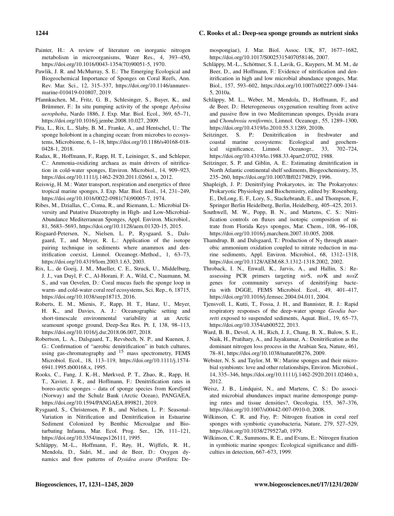- Painter, H.: A review of literature on inorganic nitrogen metabolism in microorganisms, Water Res., 4, 393–450, https://doi.org[/10.1016/0043-1354\(70\)90051-5,](https://doi.org/10.1016/0043-1354(70)90051-5) 1970.
- Pawlik, J. R. and McMurray, S. E.: The Emerging Ecological and Biogeochemical Importance of Sponges on Coral Reefs, Ann. Rev. Mar. Sci., 12, 315–337, https://doi.org[/10.1146/annurev](https://doi.org/10.1146/annurev-marine-010419-010807)[marine-010419-010807,](https://doi.org/10.1146/annurev-marine-010419-010807) 2019.
- Pfannkuchen, M., Fritz, G. B., Schlesinger, S., Bayer, K., and Brümmer, F.: In situ pumping activity of the sponge *Aplysina aerophoba*, Nardo 1886, J. Exp. Mar. Biol. Ecol., 369, 65–71, https://doi.org[/10.1016/j.jembe.2008.10.027,](https://doi.org/10.1016/j.jembe.2008.10.027) 2009.
- Pita, L., Rix, L., Slaby, B. M., Franke, A., and Hentschel, U.: The sponge holobiont in a changing ocean: from microbes to ecosystems, Microbiome, 6, 1–18, https://doi.org[/10.1186/s40168-018-](https://doi.org/10.1186/s40168-018-0428-1) [0428-1,](https://doi.org/10.1186/s40168-018-0428-1) 2018.
- Radax, R., Hoffmann, F., Rapp, H. T., Leininger, S., and Schleper, C.: Ammonia-oxidizing archaea as main drivers of nitrification in cold-water sponges, Environ. Microbiol., 14, 909–923, https://doi.org[/10.1111/j.1462-2920.2011.02661.x,](https://doi.org/10.1111/j.1462-2920.2011.02661.x) 2012.
- Reiswig, H. M.: Water transport, respiration and energetics of three tropical marine sponges, J. Exp. Mar. Biol. Ecol., 14, 231–249, https://doi.org[/10.1016/0022-0981\(74\)90005-7,](https://doi.org/10.1016/0022-0981(74)90005-7) 1974.
- Ribes, M., Dziallas, C., Coma, R., and Riemann, L.: Microbial Diversity and Putative Diazotrophy in High- and Low-Microbial-Abundance Mediterranean Sponges, Appl. Environ. Microbiol., 81, 5683–5693, https://doi.org[/10.1128/aem.01320-15,](https://doi.org/10.1128/aem.01320-15) 2015.
- Risgaard-Petersen, N., Nielsen, L. P., Rysgaard, S., Dalsgaard, T., and Meyer, R. L.: Application of the isotope pairing technique in sediments where anammox and denitrification coexist, Limnol. Oceanogr.-Method., 1, 63–73, https://doi.org[/10.4319/lom.2003.1.63,](https://doi.org/10.4319/lom.2003.1.63) 2003.
- Rix, L., de Goeij, J. M., Mueller, C. E., Struck, U., Middelburg, J. J., van Duyl, F. C., Al-Horani, F. A., Wild, C., Naumann, M. S., and van Oevelen, D.: Coral mucus fuels the sponge loop in warm- and cold-water coral reef ecosystems, Sci. Rep., 6, 18715, https://doi.org[/10.1038/srep18715,](https://doi.org/10.1038/srep18715) 2016.
- Roberts, E. M., Mienis, F., Rapp, H. T., Hanz, U., Meyer, H. K., and Davies, A. J.: Oceanographic setting and short-timescale environmental variability at an Arctic seamount sponge ground, Deep-Sea Res. Pt. I, 138, 98–113, https://doi.org[/10.1016/j.dsr.2018.06.007,](https://doi.org/10.1016/j.dsr.2018.06.007) 2018.
- Robertson, L. A., Dalsgaard, T., Revsbech, N. P., and Kuenen, J. G.: Confirmation of "aerobic denitrification" in batch cultures, using gas-chromatography and  $15$  mass spectrometry, FEMS Microbiol. Ecol., 18, 113–119, https://doi.org[/10.1111/j.1574-](https://doi.org/10.1111/j.1574-6941.1995.tb00168.x) [6941.1995.tb00168.x,](https://doi.org/10.1111/j.1574-6941.1995.tb00168.x) 1995.
- Rooks, C., Fang, J. K.-H., Mørkved, P. T., Zhao, R., Rapp, H. T., Xavier, J. R., and Hoffmann, F.: Denitrification rates in boreo-arctic sponges – data of sponge species from Korsfjord (Norway) and the Schulz Bank (Arctic Ocean), PANGAEA, https://doi.org[/10.1594/PANGAEA.899821,](https://doi.org/10.1594/PANGAEA.899821) 2019.
- Rysgaard, S., Christensen, P. B., and Nielsen, L. P.: Seasonal-Variation in Nitrification and Denitrification in Estuarine Sediment Colonized by Benthic Microalgae and Bioturbating Infauna, Mar. Ecol. Prog. Ser., 126, 111–121, https://doi.org[/10.3354/meps126111,](https://doi.org/10.3354/meps126111) 1995.
- Schläppy, M.-L., Hoffmann, F., Røy, H., Wijffels, R. H., Mendola, D., Sidri, M., and de Beer, D.: Oxygen dynamics and flow patterns of *Dysidea avara* (Porifera: De-

mospongiae), J. Mar. Biol. Assoc. UK, 87, 1677–1682, https://doi.org[/10.1017/S0025315407058146,](https://doi.org/10.1017/S0025315407058146) 2007.

- Schläppy, M.-L., Schöttner, S. I., Lavik, G., Kuypers, M. M. M., de Beer, D., and Hoffmann, F.: Evidence of nitrification and denitrification in high and low microbial abundance sponges, Mar. Biol., 157, 593–602, https://doi.org[/10.1007/s00227-009-1344-](https://doi.org/10.1007/s00227-009-1344-5) [5,](https://doi.org/10.1007/s00227-009-1344-5) 2010a.
- Schläppy, M. L., Weber, M., Mendola, D., Hoffmann, F., and de Beer, D.: Heterogeneous oxygenation resulting from active and passive flow in two Mediterranean sponges, Dysida avara and *Chondrosia reniformis*, Limnol. Oceanogr., 55, 1289–1300, https://doi.org[/10.4319/lo.2010.55.3.1289,](https://doi.org/10.4319/lo.2010.55.3.1289) 2010b.
- Seitzinger, S. P.: Denitrification in freshwater and coastal marine ecosystems: Ecological and geochemical significance, Limnol. Oceanogr., 33, 702–724, https://doi.org[/10.4319/lo.1988.33.4part2.0702,](https://doi.org/10.4319/lo.1988.33.4part2.0702) 1988.
- Seitzinger, S. P. and Giblin, A. E.: Estimating denitrification in North Atlantic continental shelf sediments, Biogeochemistry, 35, 235–260, https://doi.org[/10.1007/Bf02179829,](https://doi.org/10.1007/Bf02179829) 1996.
- Shapleigh, J. P.: Denitrifying Prokaryotes, in: The Prokaryotes: Prokaryotic Physiology and Biochemistry, edited by: Rosenberg, E., DeLong, E. F., Lory, S., Stackebrandt, E., and Thompson, F., Springer Berlin Heidelberg, Berlin, Heidelberg, 405–425, 2013.
- Southwell, M. W., Popp, B. N., and Martens, C. S.: Nitrification controls on fluxes and isotopic composition of nitrate from Florida Keys sponges, Mar. Chem., 108, 96–108, https://doi.org[/10.1016/j.marchem.2007.10.005,](https://doi.org/10.1016/j.marchem.2007.10.005) 2008.
- Thamdrup, B. and Dalsgaard, T.: Production of  $N_2$  through anaerobic ammonium oxidation coupled to nitrate reduction in marine sediments, Appl. Environ. Microbiol., 68, 1312–1318, https://doi.org[/10.1128/AEM.68.3.1312-1318.2002,](https://doi.org/10.1128/AEM.68.3.1312-1318.2002) 2002.
- Throback, I. N., Enwall, K., Jarvis, A., and Hallin, S.: Reassessing PCR primers targeting *nir*S, *nir*K and *nos*Z genes for community surveys of denitrifying bacteria with DGGE, FEMS Microbiol. Ecol., 49, 401–417, https://doi.org[/10.1016/j.femsec.2004.04.011,](https://doi.org/10.1016/j.femsec.2004.04.011) 2004.
- Tjensvoll, I., Kutti, T., Fossa, J. H., and Bannister, R. J.: Rapid respiratory responses of the deep-water sponge *Geodia barretti* exposed to suspended sediments, Aquat. Biol., 19, 65–73, https://doi.org[/10.3354/ab00522,](https://doi.org/10.3354/ab00522) 2013.
- Ward, B. B., Devol, A. H., Rich, J. J., Chang, B. X., Bulow, S. E., Naik, H., Pratihary, A., and Jayakumar, A.: Denitrification as the dominant nitrogen loss process in the Arabian Sea, Nature, 461, 78–81, https://doi.org[/10.1038/nature08276,](https://doi.org/10.1038/nature08276) 2009.
- Webster, N. S. and Taylor, M. W.: Marine sponges and their microbial symbionts: love and other relationships, Environ. Microbiol., 14, 335–346, https://doi.org[/10.1111/j.1462-2920.2011.02460.x,](https://doi.org/10.1111/j.1462-2920.2011.02460.x) 2012.
- Weisz, J. B., Lindquist, N., and Martens, C. S.: Do associated microbial abundances impact marine demosponge pumping rates and tissue densities?, Oecologia, 155, 367–376, https://doi.org[/10.1007/s00442-007-0910-0,](https://doi.org/10.1007/s00442-007-0910-0) 2008.
- Wilkinson, C. R. and Fay, P.: Nitrogen fixation in coral reef sponges with symbiotic cyanobacteria, Nature, 279, 527–529, https://doi.org[/10.1038/279527a0,](https://doi.org/10.1038/279527a0) 1979.
- Wilkinson, C. R., Summons, R. E., and Evans, E.: Nitrogen fixation in symbiotic marine sponges: Ecological significance and difficulties in detection, 667–673, 1999.